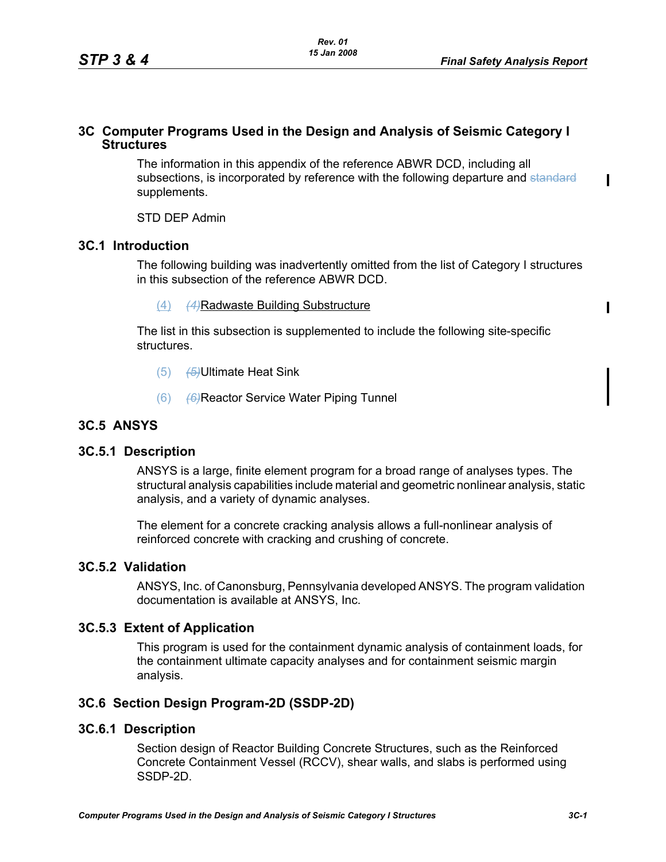$\mathbf I$ 

Π

### **3C Computer Programs Used in the Design and Analysis of Seismic Category I Structures**

The information in this appendix of the reference ABWR DCD, including all subsections, is incorporated by reference with the following departure and standard supplements.

STD DEP Admin

### **3C.1 Introduction**

The following building was inadvertently omitted from the list of Category I structures in this subsection of the reference ABWR DCD.

(4) *(4)*Radwaste Building Substructure

The list in this subsection is supplemented to include the following site-specific structures.

- (5) *(5)*Ultimate Heat Sink
- (6) *(6)*Reactor Service Water Piping Tunnel

# **3C.5 ANSYS**

### **3C.5.1 Description**

ANSYS is a large, finite element program for a broad range of analyses types. The structural analysis capabilities include material and geometric nonlinear analysis, static analysis, and a variety of dynamic analyses.

The element for a concrete cracking analysis allows a full-nonlinear analysis of reinforced concrete with cracking and crushing of concrete.

#### **3C.5.2 Validation**

ANSYS, Inc. of Canonsburg, Pennsylvania developed ANSYS. The program validation documentation is available at ANSYS, Inc.

### **3C.5.3 Extent of Application**

This program is used for the containment dynamic analysis of containment loads, for the containment ultimate capacity analyses and for containment seismic margin analysis.

### **3C.6 Section Design Program-2D (SSDP-2D)**

### **3C.6.1 Description**

Section design of Reactor Building Concrete Structures, such as the Reinforced Concrete Containment Vessel (RCCV), shear walls, and slabs is performed using SSDP-2D.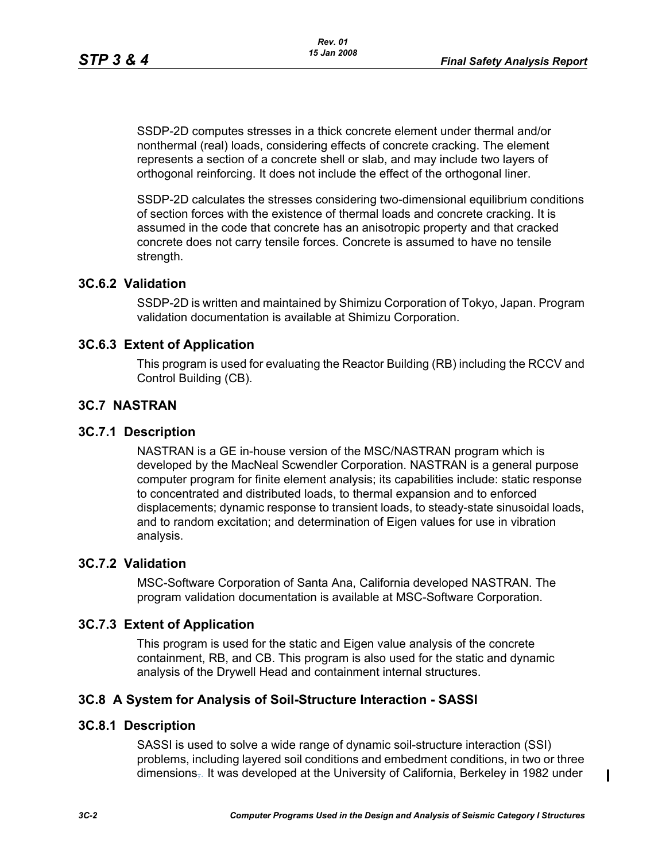SSDP-2D computes stresses in a thick concrete element under thermal and/or nonthermal (real) loads, considering effects of concrete cracking. The element represents a section of a concrete shell or slab, and may include two layers of orthogonal reinforcing. It does not include the effect of the orthogonal liner.

SSDP-2D calculates the stresses considering two-dimensional equilibrium conditions of section forces with the existence of thermal loads and concrete cracking. It is assumed in the code that concrete has an anisotropic property and that cracked concrete does not carry tensile forces. Concrete is assumed to have no tensile strength.

## **3C.6.2 Validation**

SSDP-2D is written and maintained by Shimizu Corporation of Tokyo, Japan. Program validation documentation is available at Shimizu Corporation.

## **3C.6.3 Extent of Application**

This program is used for evaluating the Reactor Building (RB) including the RCCV and Control Building (CB).

## **3C.7 NASTRAN**

### **3C.7.1 Description**

NASTRAN is a GE in-house version of the MSC/NASTRAN program which is developed by the MacNeal Scwendler Corporation. NASTRAN is a general purpose computer program for finite element analysis; its capabilities include: static response to concentrated and distributed loads, to thermal expansion and to enforced displacements; dynamic response to transient loads, to steady-state sinusoidal loads, and to random excitation; and determination of Eigen values for use in vibration analysis.

## **3C.7.2 Validation**

MSC-Software Corporation of Santa Ana, California developed NASTRAN. The program validation documentation is available at MSC-Software Corporation.

### **3C.7.3 Extent of Application**

This program is used for the static and Eigen value analysis of the concrete containment, RB, and CB. This program is also used for the static and dynamic analysis of the Drywell Head and containment internal structures.

### **3C.8 A System for Analysis of Soil-Structure Interaction - SASSI**

### **3C.8.1 Description**

SASSI is used to solve a wide range of dynamic soil-structure interaction (SSI) problems, including layered soil conditions and embedment conditions, in two or three dimensions,. It was developed at the University of California, Berkeley in 1982 under

 $\blacksquare$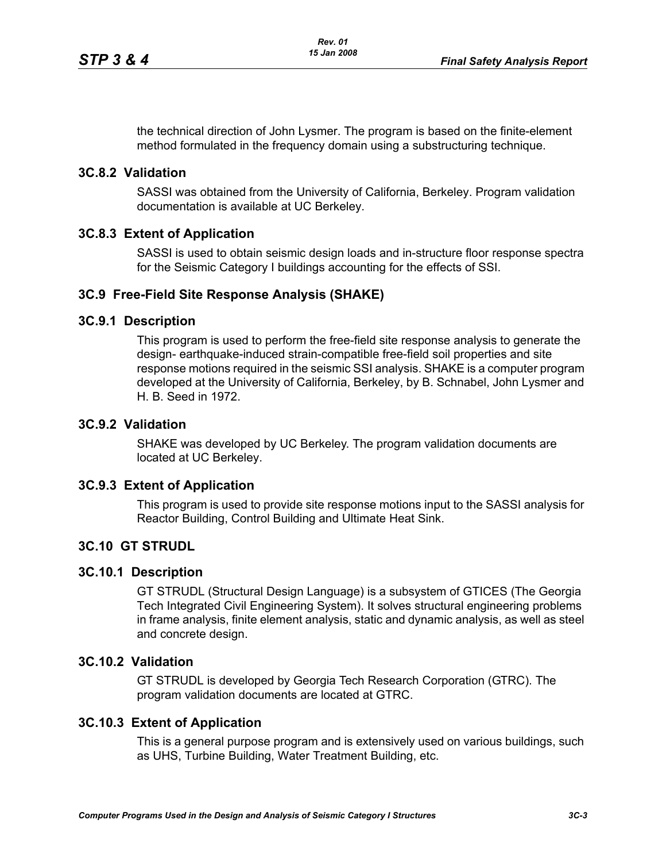the technical direction of John Lysmer. The program is based on the finite-element method formulated in the frequency domain using a substructuring technique.

### **3C.8.2 Validation**

SASSI was obtained from the University of California, Berkeley. Program validation documentation is available at UC Berkeley.

## **3C.8.3 Extent of Application**

SASSI is used to obtain seismic design loads and in-structure floor response spectra for the Seismic Category I buildings accounting for the effects of SSI.

## **3C.9 Free-Field Site Response Analysis (SHAKE)**

### **3C.9.1 Description**

This program is used to perform the free-field site response analysis to generate the design- earthquake-induced strain-compatible free-field soil properties and site response motions required in the seismic SSI analysis. SHAKE is a computer program developed at the University of California, Berkeley, by B. Schnabel, John Lysmer and H. B. Seed in 1972.

### **3C.9.2 Validation**

SHAKE was developed by UC Berkeley. The program validation documents are located at UC Berkeley.

### **3C.9.3 Extent of Application**

This program is used to provide site response motions input to the SASSI analysis for Reactor Building, Control Building and Ultimate Heat Sink.

### **3C.10 GT STRUDL**

#### **3C.10.1 Description**

GT STRUDL (Structural Design Language) is a subsystem of GTICES (The Georgia Tech Integrated Civil Engineering System). It solves structural engineering problems in frame analysis, finite element analysis, static and dynamic analysis, as well as steel and concrete design.

### **3C.10.2 Validation**

GT STRUDL is developed by Georgia Tech Research Corporation (GTRC). The program validation documents are located at GTRC.

### **3C.10.3 Extent of Application**

This is a general purpose program and is extensively used on various buildings, such as UHS, Turbine Building, Water Treatment Building, etc.